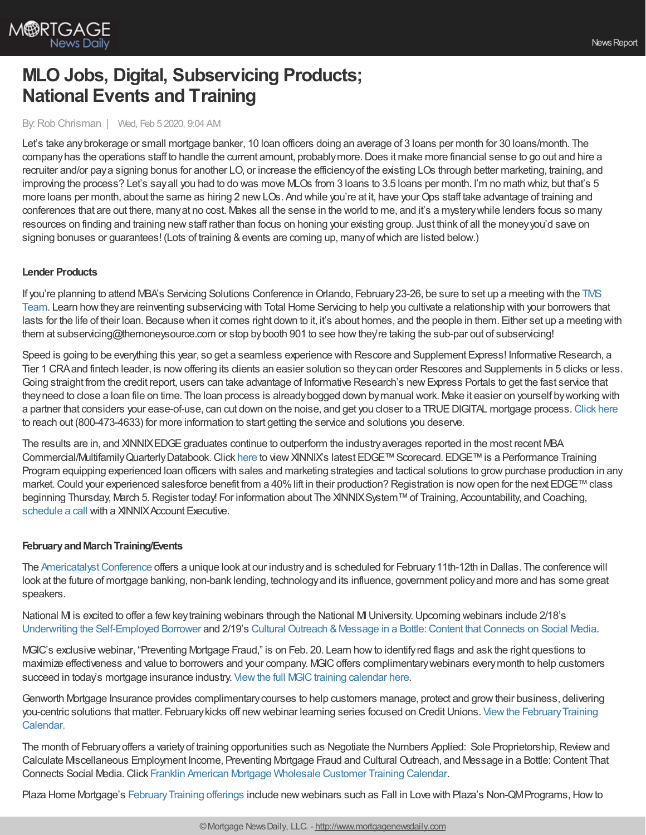

# **MLO Jobs, Digital, Subservicing Products; National Events and Training**

### By:Rob Chrisman | Wed, Feb 5 2020, 9:04 AM

Let's take anybrokerage or small mortgage banker, 10 loan officers doing an average of 3 loans per month for 30 loans/month. The companyhas the operations staff to handle the current amount, probablymore.Does it make more financial sense to go out and hire a recruiter and/or paya signing bonus for another LO, or increase the efficiencyof the existing LOs through better marketing, training, and improving the process? Let's sayall you had to do was move MLOs from 3 loans to 3.5 loans per month. I'm no math whiz, but that's 5 more loans per month, about the same as hiring 2 new LOs. And while you're at it, have your Ops staff take advantage of training and conferences that are out there, manyat no cost. Makes all the sense in the world to me, and it's a mysterywhile lenders focus so many resources on finding and training newstaff rather than focus on honing your existing group. Just think of all the moneyyou'd save on signing bonuses or guarantees! (Lots of training & events are coming up, many of which are listed below.)

## **Lender Products**

If you're planning to attend MBA's Servicing Solutions Conference in Orlando, February 23-26, be sure to set up a meeting with the TMS Team. Learn howtheyare reinventing subservicing with Total Home Servicing to help you cultivate a relationship with your borrowers that lasts for the life of their loan. Because when it comes right down to it, it's about homes, and the people in them. Either set up a meeting with them at subservicing@themoneysource.com or stop by booth 901 to see how they're taking the sub-par out of subservicing!

Speed is going to be everything this year, so get a seamless experience with Rescore and Supplement Express! Informative Research, a Tier 1 CRAand fintech leader, is nowoffering its clients an easier solution so theycan order Rescores and Supplements in 5 clicks or less. Going straight from the credit report, users can take advantage of Informative Research's new Express Portals to get the fast service that theyneed to close a loan file on time. The loan process is alreadybogged down bymanual work. Make it easier on yourself byworking with a partner that considers your ease-of-use, can cut down on the noise, and get you closer to a TRUEDIGITAL mortgage process.[Click](http://bit.ly/2RY3p4E) here to reach out (800-473-4633) for more information to start getting the service and solutions you deserve.

The results are in, and XINNIXEDGE graduates continue to outperform the industry averages reported in the most recent MBA Commercial/Multifamily Quarterly Databook. Click [here](http://bit.ly/2UmR0ZH) to view XINNIX's latest EDGE™ Scorecard. EDGE™ is a Performance Training Program equipping experienced loan officers with sales and marketing strategies and tactical solutions to grow purchase production in any market. Could your experienced salesforce benefit from a 40% lift in their production? Registration is now open for the next EDGE™ class beginning Thursday, March 5. Register today! For information about The XINNIX System™ of Training, Accountability, and Coaching, [schedule](https://www2.xinnix.com/schedulecall) a call with a XINNIX Account Executive.

## **FebruaryandMarchTraining/Events**

The Americatalyst Conference offers a unique look at our industry and is scheduled for February 11th-12th in Dallas. The conference will look at the future of mortgage banking, non-bank lending, technologyand its influence, government policyand more and has some great speakers.

National M is excited to offer a few key training webinars through the National MI University. Upcoming webinars include 2/18's Underwriting the [Self-Employed](https://register.gotowebinar.com/register/4166159910756529665) Borrower and 2/19's Cultural Outreach & Message in a Bottle: Content that Connects on Social Media.

MGIC's exclusive webinar, "Preventing Mortgage Fraud," is on Feb. 20. Learn howto identifyred flags and ask the right questions to maximize effectiveness and value to borrowers and your company. MGICoffers complimentarywebinars everymonth to help customers succeed in today's mortgage insurance industry. View the full MGIC training calendar here.

Genworth Mortgage Insurance provides complimentarycourses to help customers manage, protect and growtheir business, delivering you-centric solutions that matter. February kicks off new webinar learning series focused on Credit Unions. View the February Training Calendar.

The month of Februaryoffers a varietyof training opportunities such as Negotiate the Numbers Applied: Sole Proprietorship,Reviewand Calculate Miscellaneous Employment Income, Preventing Mortgage Fraud and Cultural Outreach, and Message in a Bottle:Content That Connects Social Media.Click Franklin American Mortgage [Wholesale](https://wholesalestorefront.franklinamerican.com/calendar/) Customer Training Calendar.

Plaza Home Mortgage's February Training offerings include new webinars such as Fall in Love with Plaza's Non-QMPrograms, How to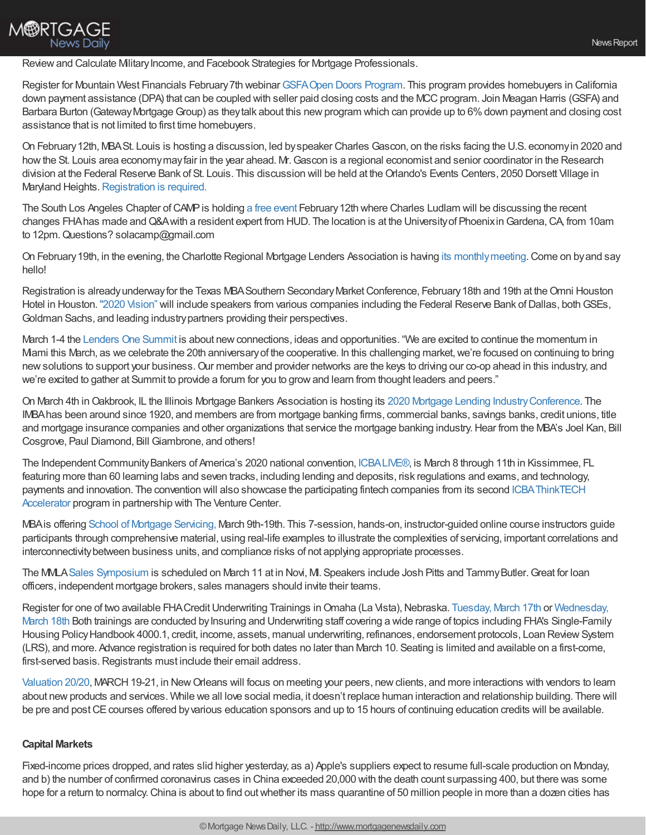Review and Calculate Military Income, and Facebook Strategies for Mortgage Professionals.

Register for Mountain West Financials February 7th webinar GSFA Open Doors Program. This program provides homebuyers in California down payment assistance (DPA) that can be coupled with seller paid closing costs and the MCC program. Join Meagan Harris (GSFA) and Barbara Burton (Gateway Mortgage Group) as they talk about this new program which can provide up to 6% down payment and closing cost assistance that is not limited to first time homebuyers.

On February12th, MBASt. Louis is hosting a discussion, led byspeaker Charles Gascon, on the risks facing the U.S. economyin 2020 and howthe St. Louis area economymayfair in the year ahead. Mr.Gascon is a regional economist and senior coordinator in the Research division at the Federal Reserve Bank of St. Louis. This discussion will be held at the Orlando's Events Centers, 2050 Dorsett Village in Maryland Heights. [Registration](https://mbastl.wildapricot.org/event-3703471/Registration) is required.

The South Los Angeles Chapter of CAMP is holding a free [event](http://www.thecampsite.org/southla) February 12th where Charles Ludlam will be discussing the recent changes FHA has made and Q&A with a resident expert from HUD. The location is at the University of Phoenix in Gardena, CA, from 10am to 12pm. Questions? solacamp@gmail.com

On February19th, in the evening, the Charlotte Regional Mortgage Lenders Association is having its [monthlymeeting.](https://www.crmla.net/event/crmla-luncheon-february-2020/)Come on byand say hello!

Registration is already underway for the Texas MBA Southern Secondary Market Conference, February 18th and 19th at the Omni Houston Hotel in Houston. "2020 [Vision"](https://www.texasmba.org/secondary/register.asp) will include speakers from various companies including the Federal Reserve Bank of Dallas, both GSEs, Goldman Sachs, and leading industrypartners providing their perspectives.

March 1-4 the [Lenders](https://www.l1summit.com/ehome/index.php?eventid=473666&) One Summit is about new connections, ideas and opportunities. "We are excited to continue the momentum in Miami this March, as we celebrate the 20th anniversaryof the cooperative. In this challenging market,we're focused on continuing to bring newsolutions to support your business.Our member and provider networks are the keys to driving our co-op ahead in this industry, and we're excited to gather at Summit to provide a forum for you to growand learn from thought leaders and peers."

On March 4th in Oakbrook, IL the Illinois Mortgage Bankers Association is hosting its 2020 Mortgage Lending Industry Conference. The IMBAhas been around since 1920, and members are from mortgage banking firms, commercial banks, savings banks, credit unions, title and mortgage insurance companies and other organizations that service the mortgage banking industry.Hear from the MBA's Joel Kan, Bill Cosgrove, Paul Diamond, Bill Giambrone, and others!

The Independent Community Bankers of America's 2020 national convention, [ICBALIVE®,](https://www.icba.org/events/icba-live) is March 8 through 11th in Kissimmee, FL featuring more than 60 learning labs and seven tracks, including lending and deposits, risk regulations and exams, and technology, payments and innovation. The convention will also showcase the participating fintech companies from its second [ICBAThinkTECH](https://u7061146.ct.sendgrid.net/wf/click?upn=G62jSYfZdO-2F12d8lSllQByPhiVdFjOmBvuxU-2BEeCZWHij7Y-2Fw-2BekDRpj0ffUdeygtnfm4Ed29M1cS8UWB-2F-2FKqA-3D-3D_EmMaci7uzQKZrZ6AgvFBiVmc7CrG6dShlRYjj-2BKbcnkPiOeP8GzYFWe9mVB6Hr6XbpaBa-2BEMffqnUkTLvCZ4kQwer1wYjZc0Flys9bDLS-2BwuQCKiIKO6IE-2BPyM2CJStFUJ4734-2F9ozpf5TQB2YhcwN8RLdOeL-2BZb6Tymmr4SSklWbwm3i7WY0XTklxi7rTgqGVT-2BfXxw0eqbdRQ5n4rr5UNPlitxjKgczW-2B6d75kzf9XJWXEfKsjEAZfaayTndiWJKjS3emQHZkirQTPeKT-2B3cPKdR5j3c7LX3x7-2FB11L8TuCXDapkSy3-2BR9zaKYt1CmgBOBTo8LhpqWTW93glgeVq-2B6v8UXckP4Kn8Xlsmqru0-3D) Accelerator program in partnership with The Venture Center.

MBAis offering School of Mortgage [Servicing,](https://www.mba.org/store/events/instructor-guided-online-course/school-of-mortgage-servicing-march-2020?utm_source=Informz&utm_medium=Email&utm_campaign=mba%252Eorg#_zs9UHdA1_zlg2lT5) March 9th-19th. This 7-session, hands-on, instructor-guided online course instructors guide participants through comprehensive material, using real-life examples to illustrate the complexities of servicing, important correlations and interconnectivitybetween business units, and compliance risks of not applying appropriate processes.

The MMLA Sales [Symposium](https://mmla.net/) is scheduled on March 11 at in Novi, M. Speakers include Josh Pitts and Tammy Butler. Great for loan officers, independent mortgage brokers, sales managers should invite their teams.

Register for one of two available FHA Credit Underwriting Trainings in Omaha (La Vista), Nebraska. [Tuesday,](https://apps.hud.gov/emarc/index.cfm?fuseaction=emar.registerEvent&eventId=3787&update=N) March 17th or Wednesday, March 18th Both trainings are conducted by Insuring and Underwriting staff covering a wide range of topics including FHA's Single-Family Housing Policy Handbook 4000.1, credit, income, assets, manual underwriting, refinances, endorsement protocols, Loan Review System (LRS), and more. Advance registration is required for both dates no later than March 10. Seating is limited and available on a first-come, first-served basis. Registrants must include their email address.

[Valuation](https://valuation2020.com/) 20/20, MARCH 19-21, in New Orleans will focus on meeting your peers, new clients, and more interactions with vendors to learn about newproducts and services. While we all love social media, it doesn't replace human interaction and relationship building. There will be pre and post CE courses offered by various education sponsors and up to 15 hours of continuing education credits will be available.

## **Capital Markets**

**M®RTGAGE** 

**News Daily** 

Fixed-income prices dropped, and rates slid higher yesterday, as a) Apple's suppliers expect to resume full-scale production on Monday, and b) the number of confirmed coronavirus cases in China exceeded 20,000 with the death count surpassing 400, but there was some hope for a return to normalcy. China is about to find out whether its mass quarantine of 50 million people in more than a dozen cities has